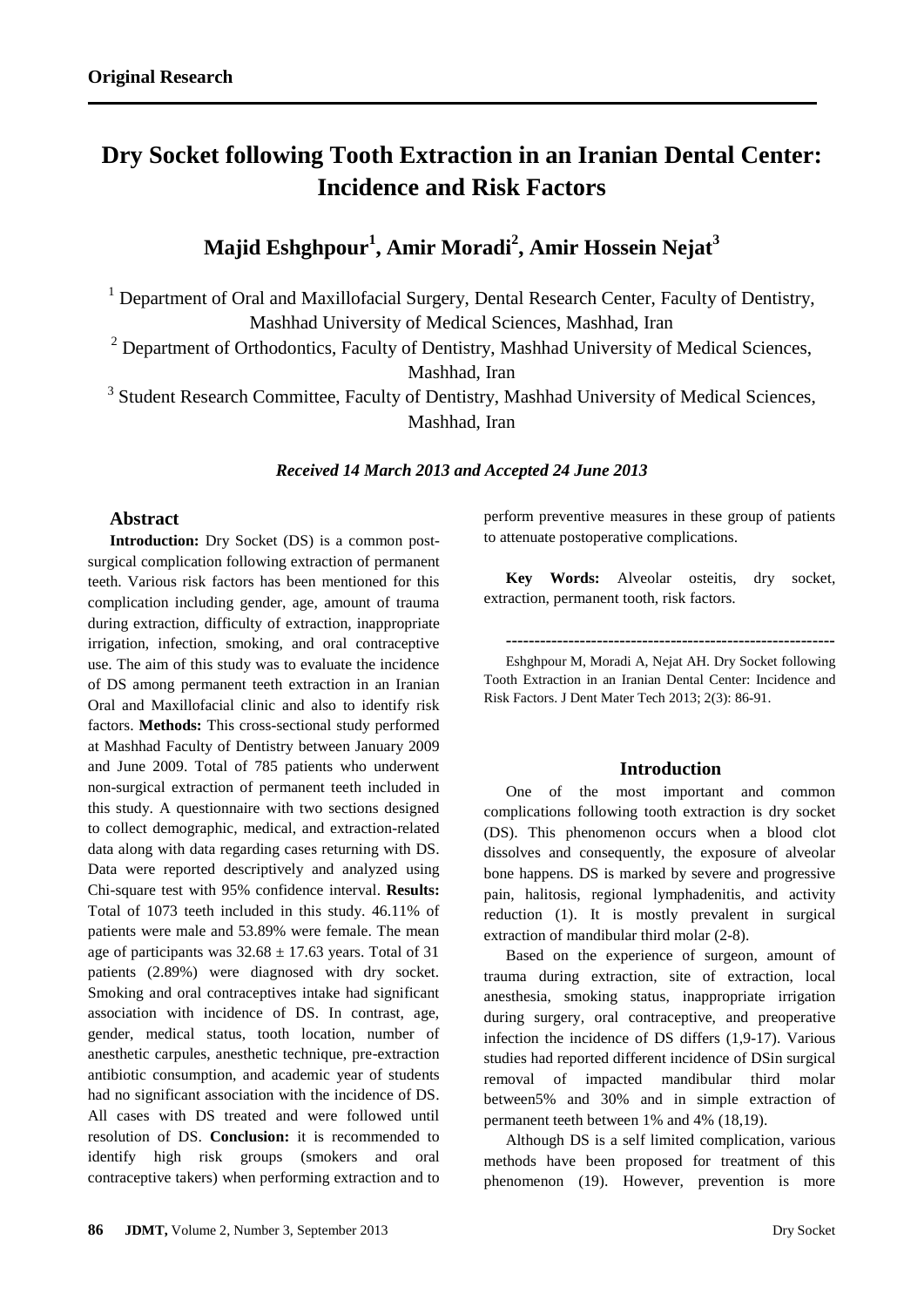# **Dry Socket following Tooth Extraction in an Iranian Dental Center: Incidence and Risk Factors**

# **Majid Eshghpour<sup>1</sup> , Amir Moradi<sup>2</sup> , Amir Hossein Nejat<sup>3</sup>**

<sup>1</sup> Department of Oral and Maxillofacial Surgery, Dental Research Center, Faculty of Dentistry, Mashhad University of Medical Sciences, Mashhad, Iran

 $2$  Department of Orthodontics, Faculty of Dentistry, Mashhad University of Medical Sciences,

Mashhad, Iran

<sup>3</sup> Student Research Committee, Faculty of Dentistry, Mashhad University of Medical Sciences, Mashhad, Iran

#### *Received 14 March 2013 and Accepted 24 June 2013*

## **Abstract**

**Introduction:** Dry Socket (DS) is a common postsurgical complication following extraction of permanent teeth. Various risk factors has been mentioned for this complication including gender, age, amount of trauma during extraction, difficulty of extraction, inappropriate irrigation, infection, smoking, and oral contraceptive use. The aim of this study was to evaluate the incidence of DS among permanent teeth extraction in an Iranian Oral and Maxillofacial clinic and also to identify risk factors. **Methods:** This cross-sectional study performed at Mashhad Faculty of Dentistry between January 2009 and June 2009. Total of 785 patients who underwent non-surgical extraction of permanent teeth included in this study. A questionnaire with two sections designed to collect demographic, medical, and extraction-related data along with data regarding cases returning with DS. Data were reported descriptively and analyzed using Chi-square test with 95% confidence interval. **Results:**  Total of 1073 teeth included in this study. 46.11% of patients were male and 53.89% were female. The mean age of participants was  $32.68 \pm 17.63$  years. Total of 31 patients (2.89%) were diagnosed with dry socket. Smoking and oral contraceptives intake had significant association with incidence of DS. In contrast, age, gender, medical status, tooth location, number of anesthetic carpules, anesthetic technique, pre-extraction antibiotic consumption, and academic year of students had no significant association with the incidence of DS. All cases with DS treated and were followed until resolution of DS. **Conclusion:** it is recommended to identify high risk groups (smokers and oral contraceptive takers) when performing extraction and to

perform preventive measures in these group of patients to attenuate postoperative complications.

**Key Words:** Alveolar osteitis, dry socket, extraction, permanent tooth, risk factors.

**----------------------------------------------------------**

Eshghpour M, Moradi A, Nejat AH. Dry Socket following Tooth Extraction in an Iranian Dental Center: Incidence and Risk Factors. J Dent Mater Tech 2013; 2(3): 86-91.

### **Introduction**

One of the most important and common complications following tooth extraction is dry socket (DS). This phenomenon occurs when a blood clot dissolves and consequently, the exposure of alveolar bone happens. DS is marked by severe and progressive pain, halitosis, regional lymphadenitis, and activity reduction (1). It is mostly prevalent in surgical extraction of mandibular third molar (2-8).

Based on the experience of surgeon, amount of trauma during extraction, site of extraction, local anesthesia, smoking status, inappropriate irrigation during surgery, oral contraceptive, and preoperative infection the incidence of DS differs (1,9-17). Various studies had reported different incidence of DSin surgical removal of impacted mandibular third molar between5% and 30% and in simple extraction of permanent teeth between 1% and 4% (18,19).

Although DS is a self limited complication, various methods have been proposed for treatment of this phenomenon (19). However, prevention is more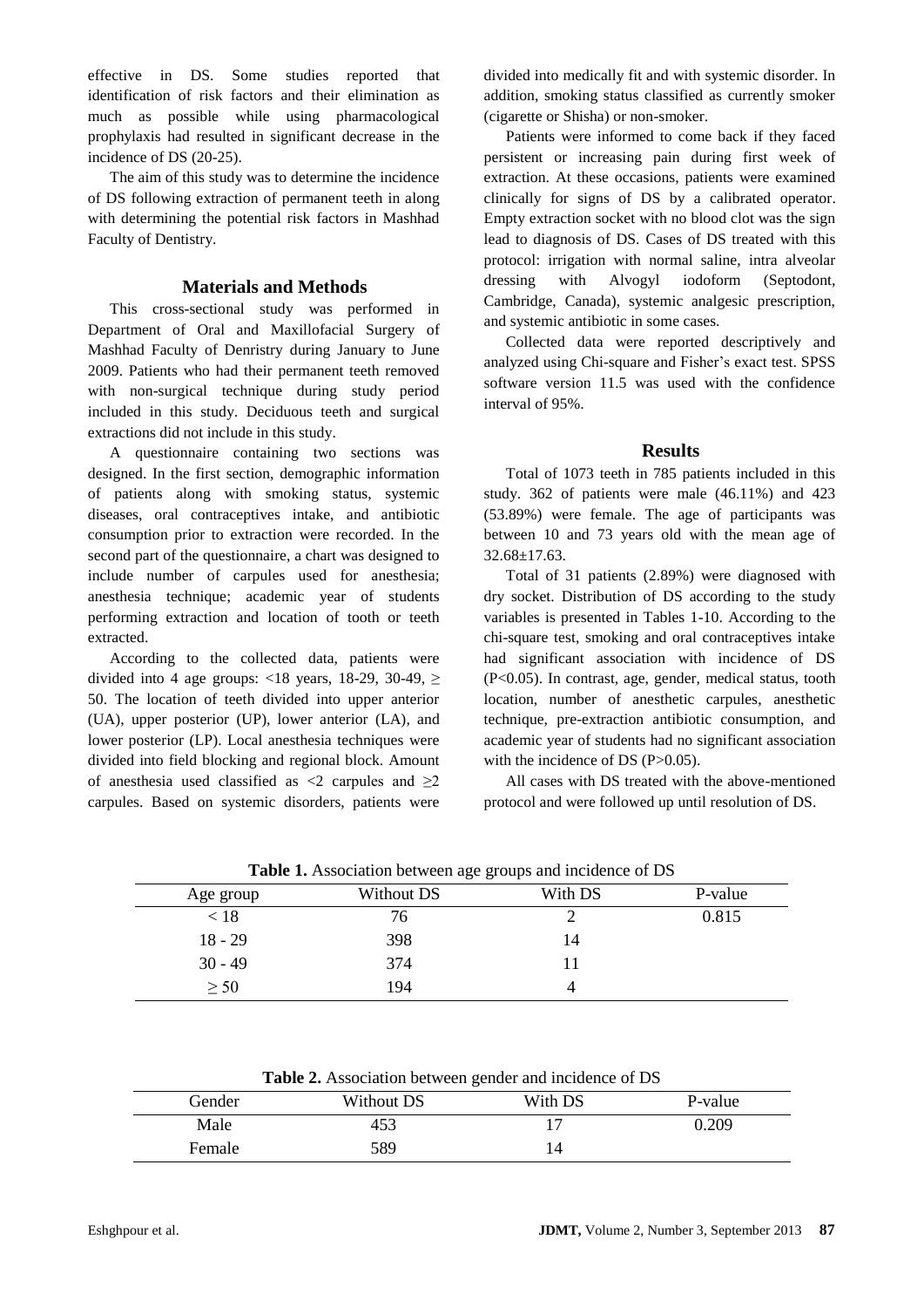effective in DS. Some studies reported that identification of risk factors and their elimination as much as possible while using pharmacological prophylaxis had resulted in significant decrease in the incidence of DS (20-25).

The aim of this study was to determine the incidence of DS following extraction of permanent teeth in along with determining the potential risk factors in Mashhad Faculty of Dentistry.

#### **Materials and Methods**

This cross-sectional study was performed in Department of Oral and Maxillofacial Surgery of Mashhad Faculty of Denristry during January to June 2009. Patients who had their permanent teeth removed with non-surgical technique during study period included in this study. Deciduous teeth and surgical extractions did not include in this study.

A questionnaire containing two sections was designed. In the first section, demographic information of patients along with smoking status, systemic diseases, oral contraceptives intake, and antibiotic consumption prior to extraction were recorded. In the second part of the questionnaire, a chart was designed to include number of carpules used for anesthesia; anesthesia technique; academic year of students performing extraction and location of tooth or teeth extracted.

According to the collected data, patients were divided into 4 age groups: <18 years, 18-29, 30-49,  $\ge$ 50. The location of teeth divided into upper anterior (UA), upper posterior (UP), lower anterior (LA), and lower posterior (LP). Local anesthesia techniques were divided into field blocking and regional block. Amount of anesthesia used classified as  $\langle 2 \rangle$  carpules and  $\geq 2$ carpules. Based on systemic disorders, patients were divided into medically fit and with systemic disorder. In addition, smoking status classified as currently smoker (cigarette or Shisha) or non-smoker.

Patients were informed to come back if they faced persistent or increasing pain during first week of extraction. At these occasions, patients were examined clinically for signs of DS by a calibrated operator. Empty extraction socket with no blood clot was the sign lead to diagnosis of DS. Cases of DS treated with this protocol: irrigation with normal saline, intra alveolar dressing with Alvogyl iodoform (Septodont, Cambridge, Canada), systemic analgesic prescription, and systemic antibiotic in some cases.

Collected data were reported descriptively and analyzed using Chi-square and Fisher's exact test. SPSS software version 11.5 was used with the confidence interval of 95%.

#### **Results**

Total of 1073 teeth in 785 patients included in this study. 362 of patients were male (46.11%) and 423 (53.89%) were female. The age of participants was between 10 and 73 years old with the mean age of 32.68±17.63.

Total of 31 patients (2.89%) were diagnosed with dry socket. Distribution of DS according to the study variables is presented in Tables 1-10. According to the chi-square test, smoking and oral contraceptives intake had significant association with incidence of DS (P<0.05). In contrast, age, gender, medical status, tooth location, number of anesthetic carpules, anesthetic technique, pre-extraction antibiotic consumption, and academic year of students had no significant association with the incidence of DS (P>0.05).

All cases with DS treated with the above-mentioned protocol and were followed up until resolution of DS.

| <b>Table 1.</b> Association between age groups and incidence of DS |            |         |         |  |
|--------------------------------------------------------------------|------------|---------|---------|--|
| Age group                                                          | Without DS | With DS | P-value |  |
| < 18                                                               | 76         |         | 0.815   |  |
| $18 - 29$                                                          | 398        | 14      |         |  |
| $30 - 49$                                                          | 374        |         |         |  |
| $\geq 50$                                                          | 194        |         |         |  |

| Gender | Without DS | With DS | P-value |
|--------|------------|---------|---------|
| Male   | 453        |         | 0.209   |
| Female | 589        | 14      |         |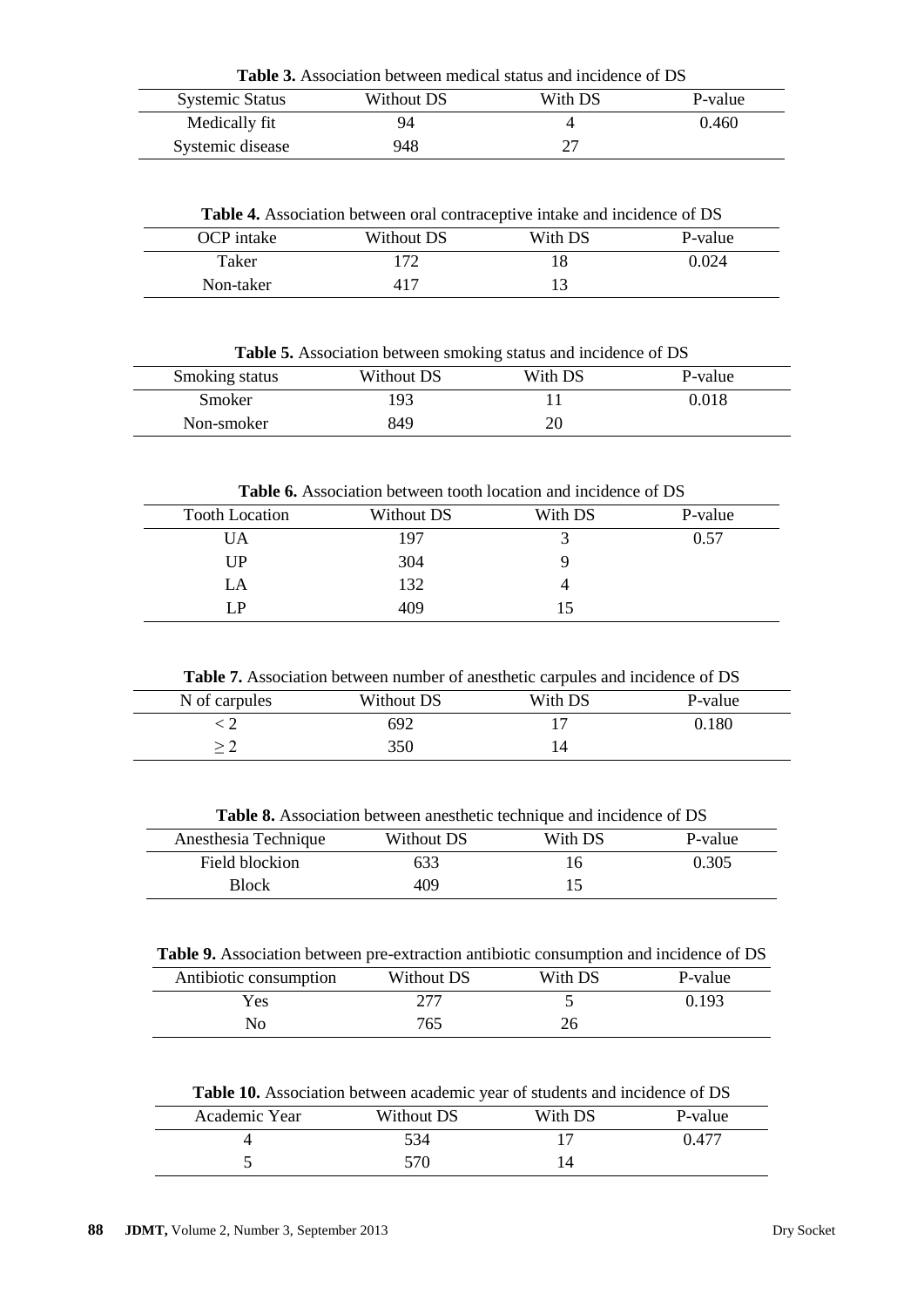| <b>Table 3.</b> Association between medical status and incidence of DS |            |         |         |  |
|------------------------------------------------------------------------|------------|---------|---------|--|
| <b>Systemic Status</b>                                                 | Without DS | With DS | P-value |  |
| Medically fit                                                          | 94         |         | 0.460   |  |
| Systemic disease                                                       | 948        |         |         |  |

**Table 4.** Association between oral contraceptive intake and incidence of DS

| OCP intake | Without DS | With DS | P-value |
|------------|------------|---------|---------|
| Taker      | ി 70       |         | 0.024   |
| Non-taker  | 41         |         |         |

**Table 5.** Association between smoking status and incidence of DS

| Smoking status | Without DS | With DS | P-value |
|----------------|------------|---------|---------|
| Smoker         | 193        |         | 0.018   |
| Non-smoker     | 849        | 20      |         |

**Table 6.** Association between tooth location and incidence of DS

| <b>Tooth Location</b> | Without DS | With DS | P-value |
|-----------------------|------------|---------|---------|
| <b>UA</b>             | 197        |         | 0.57    |
| UP                    | 304        |         |         |
| LA                    | 132        |         |         |
| ſР                    | 409        | 15      |         |

**Table 7.** Association between number of anesthetic carpules and incidence of DS

| N of carpules | Without DS | With DS | P-value |
|---------------|------------|---------|---------|
|               | 692        |         | ).180   |
|               | 350        |         |         |

**Table 8.** Association between anesthetic technique and incidence of DS

| Anesthesia Technique | Without DS | With DS | P-value |
|----------------------|------------|---------|---------|
| Field blockion       | 633        |         | 0.305   |
| <b>Block</b>         | 409        |         |         |

**Table 9.** Association between pre-extraction antibiotic consumption and incidence of DS

| Antibiotic consumption | Without DS | With DS | P-value |
|------------------------|------------|---------|---------|
| Yes                    | 277        |         | ).193   |
| Nо                     | 765        | 26      |         |

**Table 10.** Association between academic year of students and incidence of DS

| Academic Year | Without DS | With DS | P-value |
|---------------|------------|---------|---------|
|               | 534        |         | 0.477   |
|               | 570        |         |         |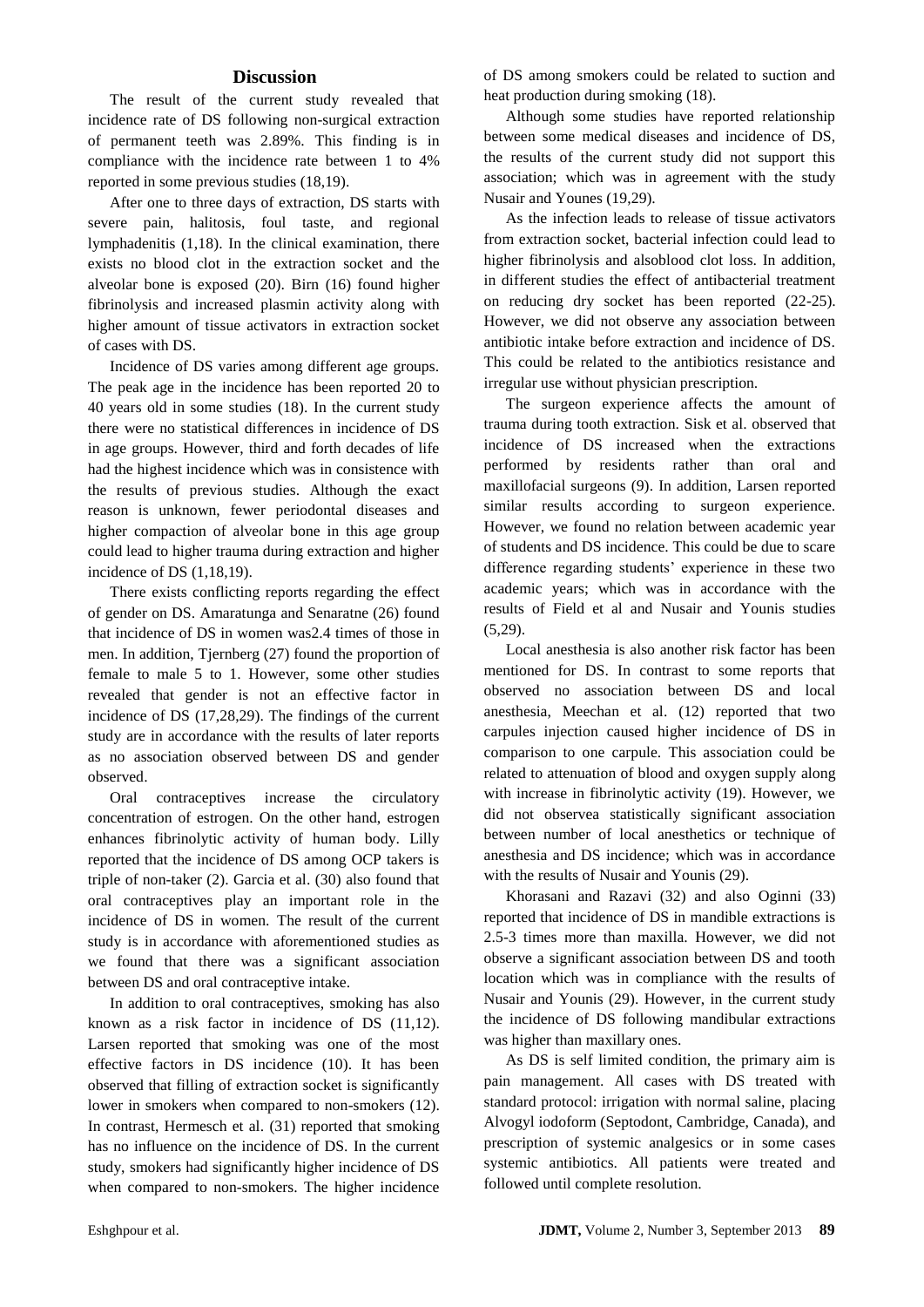#### **Discussion**

The result of the current study revealed that incidence rate of DS following non-surgical extraction of permanent teeth was 2.89%. This finding is in compliance with the incidence rate between 1 to 4% reported in some previous studies (18,19).

After one to three days of extraction, DS starts with severe pain, halitosis, foul taste, and regional lymphadenitis (1,18). In the clinical examination, there exists no blood clot in the extraction socket and the alveolar bone is exposed (20). Birn (16) found higher fibrinolysis and increased plasmin activity along with higher amount of tissue activators in extraction socket of cases with DS.

Incidence of DS varies among different age groups. The peak age in the incidence has been reported 20 to 40 years old in some studies (18). In the current study there were no statistical differences in incidence of DS in age groups. However, third and forth decades of life had the highest incidence which was in consistence with the results of previous studies. Although the exact reason is unknown, fewer periodontal diseases and higher compaction of alveolar bone in this age group could lead to higher trauma during extraction and higher incidence of DS (1,18,19).

There exists conflicting reports regarding the effect of gender on DS. Amaratunga and Senaratne (26) found that incidence of DS in women was2.4 times of those in men. In addition, Tjernberg (27) found the proportion of female to male 5 to 1. However, some other studies revealed that gender is not an effective factor in incidence of DS (17,28,29). The findings of the current study are in accordance with the results of later reports as no association observed between DS and gender observed.

Oral contraceptives increase the circulatory concentration of estrogen. On the other hand, estrogen enhances fibrinolytic activity of human body. Lilly reported that the incidence of DS among OCP takers is triple of non-taker (2). Garcia et al. (30) also found that oral contraceptives play an important role in the incidence of DS in women. The result of the current study is in accordance with aforementioned studies as we found that there was a significant association between DS and oral contraceptive intake.

In addition to oral contraceptives, smoking has also known as a risk factor in incidence of DS (11,12). Larsen reported that smoking was one of the most effective factors in DS incidence (10). It has been observed that filling of extraction socket is significantly lower in smokers when compared to non-smokers (12). In contrast, Hermesch et al. (31) reported that smoking has no influence on the incidence of DS. In the current study, smokers had significantly higher incidence of DS when compared to non-smokers. The higher incidence

of DS among smokers could be related to suction and heat production during smoking (18).

Although some studies have reported relationship between some medical diseases and incidence of DS, the results of the current study did not support this association; which was in agreement with the study Nusair and Younes (19,29).

As the infection leads to release of tissue activators from extraction socket, bacterial infection could lead to higher fibrinolysis and alsoblood clot loss. In addition, in different studies the effect of antibacterial treatment on reducing dry socket has been reported (22-25). However, we did not observe any association between antibiotic intake before extraction and incidence of DS. This could be related to the antibiotics resistance and irregular use without physician prescription.

The surgeon experience affects the amount of trauma during tooth extraction. Sisk et al. observed that incidence of DS increased when the extractions performed by residents rather than oral and maxillofacial surgeons (9). In addition, Larsen reported similar results according to surgeon experience. However, we found no relation between academic year of students and DS incidence. This could be due to scare difference regarding students' experience in these two academic years; which was in accordance with the results of Field et al and Nusair and Younis studies (5,29).

Local anesthesia is also another risk factor has been mentioned for DS. In contrast to some reports that observed no association between DS and local anesthesia, Meechan et al. (12) reported that two carpules injection caused higher incidence of DS in comparison to one carpule. This association could be related to attenuation of blood and oxygen supply along with increase in fibrinolytic activity (19). However, we did not observea statistically significant association between number of local anesthetics or technique of anesthesia and DS incidence; which was in accordance with the results of Nusair and Younis (29).

Khorasani and Razavi (32) and also Oginni (33) reported that incidence of DS in mandible extractions is 2.5-3 times more than maxilla. However, we did not observe a significant association between DS and tooth location which was in compliance with the results of Nusair and Younis (29). However, in the current study the incidence of DS following mandibular extractions was higher than maxillary ones.

As DS is self limited condition, the primary aim is pain management. All cases with DS treated with standard protocol: irrigation with normal saline, placing Alvogyl iodoform (Septodont, Cambridge, Canada), and prescription of systemic analgesics or in some cases systemic antibiotics. All patients were treated and followed until complete resolution.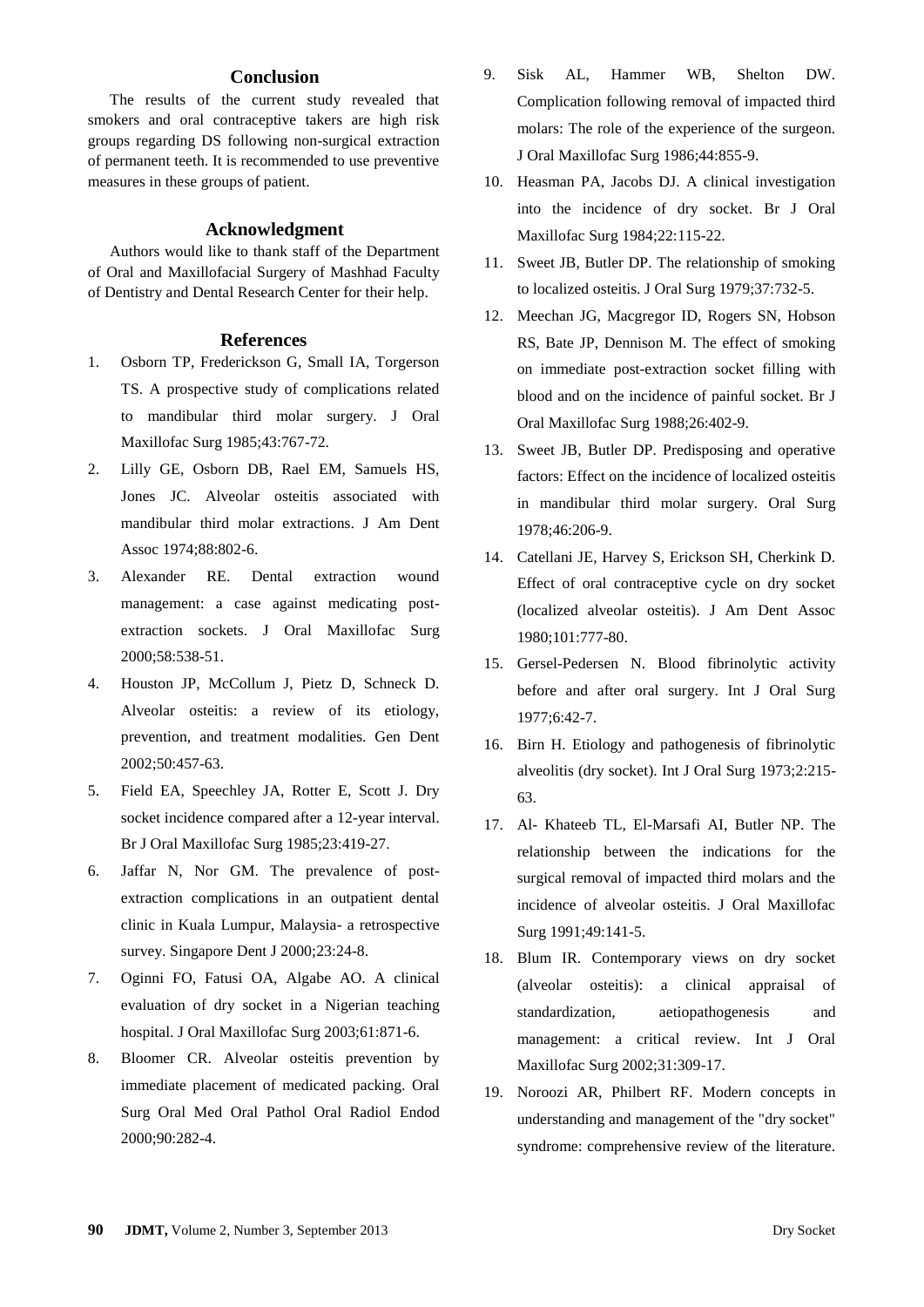#### **Conclusion**

The results of the current study revealed that smokers and oral contraceptive takers are high risk groups regarding DS following non-surgical extraction of permanent teeth. It is recommended to use preventive measures in these groups of patient.

#### **Acknowledgment**

Authors would like to thank staff of the Department of Oral and Maxillofacial Surgery of Mashhad Faculty of Dentistry and Dental Research Center for their help.

#### **References**

- 1. Osborn TP, Frederickson G, Small IA, Torgerson TS. A prospective study of complications related to mandibular third molar surgery. J Oral Maxillofac Surg 1985;43:767-72.
- 2. Lilly GE, Osborn DB, Rael EM, Samuels HS, Jones JC. Alveolar osteitis associated with mandibular third molar extractions. J Am Dent Assoc 1974;88:802-6.
- 3. Alexander RE. Dental extraction wound management: a case against medicating postextraction sockets. J Oral Maxillofac Surg 2000;58:538-51.
- 4. Houston JP, McCollum J, Pietz D, Schneck D. Alveolar osteitis: a review of its etiology, prevention, and treatment modalities. Gen Dent 2002;50:457-63.
- 5. Field EA, Speechley JA, Rotter E, Scott J. Dry socket incidence compared after a 12-year interval. Br J Oral Maxillofac Surg 1985;23:419-27.
- 6. Jaffar N, Nor GM. The prevalence of postextraction complications in an outpatient dental clinic in Kuala Lumpur, Malaysia- a retrospective survey. Singapore Dent J 2000;23:24-8.
- 7. Oginni FO, Fatusi OA, Algabe AO. A clinical evaluation of dry socket in a Nigerian teaching hospital. J Oral Maxillofac Surg 2003;61:871-6.
- 8. Bloomer CR. Alveolar osteitis prevention by immediate placement of medicated packing. Oral Surg Oral Med Oral Pathol Oral Radiol Endod 2000;90:282-4.
- 9. Sisk AL, Hammer WB, Shelton DW. Complication following removal of impacted third molars: The role of the experience of the surgeon. J Oral Maxillofac Surg 1986;44:855-9.
- 10. Heasman PA, Jacobs DJ. A clinical investigation into the incidence of dry socket. Br J Oral Maxillofac Surg 1984;22:115-22.
- 11. Sweet JB, Butler DP. The relationship of smoking to localized osteitis. J Oral Surg 1979;37:732-5.
- 12. Meechan JG, Macgregor ID, Rogers SN, Hobson RS, Bate JP, Dennison M. The effect of smoking on immediate post-extraction socket filling with blood and on the incidence of painful socket. Br J Oral Maxillofac Surg 1988;26:402-9.
- 13. Sweet JB, Butler DP. Predisposing and operative factors: Effect on the incidence of localized osteitis in mandibular third molar surgery. Oral Surg 1978;46:206-9.
- 14. Catellani JE, Harvey S, Erickson SH, Cherkink D. Effect of oral contraceptive cycle on dry socket (localized alveolar osteitis). J Am Dent Assoc 1980;101:777-80.
- 15. Gersel-Pedersen N. Blood fibrinolytic activity before and after oral surgery. Int J Oral Surg 1977;6:42-7.
- 16. Birn H. Etiology and pathogenesis of fibrinolytic alveolitis (dry socket). Int J Oral Surg 1973;2:215- 63.
- 17. Al- Khateeb TL, El-Marsafi AI, Butler NP. The relationship between the indications for the surgical removal of impacted third molars and the incidence of alveolar osteitis. J Oral Maxillofac Surg 1991;49:141-5.
- 18. Blum IR. Contemporary views on dry socket (alveolar osteitis): a clinical appraisal of standardization, aetiopathogenesis and management: a critical review. Int J Oral Maxillofac Surg 2002;31:309-17.
- 19. [Noroozi AR,](http://www.ncbi.nlm.nih.gov/pubmed?term=Noroozi%20AR%5BAuthor%5D&cauthor=true&cauthor_uid=18755610) [Philbert RF.](http://www.ncbi.nlm.nih.gov/pubmed?term=Philbert%20RF%5BAuthor%5D&cauthor=true&cauthor_uid=18755610) Modern concepts in understanding and management of the "dry socket" syndrome: comprehensive review of the literature.